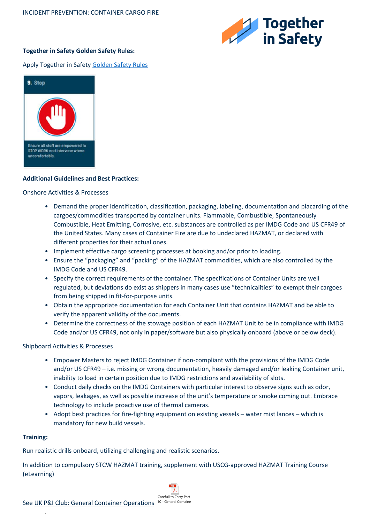

# **Together in Safety Golden Safety Rules:**

## Apply Together in Safet[y Golden Safety Rules](https://togetherinsafety.info/wp-content/uploads/2020/07/Golden-Safety-Rules.pdf)



### **Additional Guidelines and Best Practices:**

#### Onshore Activities & Processes

- Demand the proper identification, classification, packaging, labeling, documentation and placarding of the cargoes/commodities transported by container units. Flammable, Combustible, Spontaneously Combustible, Heat Emitting, Corrosive, etc. substances are controlled as per IMDG Code and US CFR49 of the United States. Many cases of Container Fire are due to undeclared HAZMAT, or declared with different properties for their actual ones.
- Implement effective cargo screening processes at booking and/or prior to loading.
- Ensure the "packaging" and "packing" of the HAZMAT commodities, which are also controlled by the IMDG Code and US CFR49.
- Specify the correct requirements of the container. The specifications of Container Units are well regulated, but deviations do exist as shippers in many cases use "technicalities" to exempt their cargoes from being shipped in fit-for-purpose units.
- Obtain the appropriate documentation for each Container Unit that contains HAZMAT and be able to verify the apparent validity of the documents.
- Determine the correctness of the stowage position of each HAZMAT Unit to be in compliance with IMDG Code and/or US CFR49, not only in paper/software but also physically onboard (above or below deck).

#### Shipboard Activities & Processes

- Empower Masters to reject IMDG Container if non-compliant with the provisions of the IMDG Code and/or US CFR49 – i.e. missing or wrong documentation, heavily damaged and/or leaking Container unit, inability to load in certain position due to IMDG restrictions and availability of slots.
- Conduct daily checks on the IMDG Containers with particular interest to observe signs such as odor, vapors, leakages, as well as possible increase of the unit's temperature or smoke coming out. Embrace technology to include proactive use of thermal cameras.
- Adopt best practices for fire-fighting equipment on existing vessels water mist lances which is mandatory for new build vessels.

#### **Training:**

.

Run realistic drills onboard, utilizing challenging and realistic scenarios.

In addition to compulsory STCW HAZMAT training, supplement with USCG-approved HAZMAT Training Course (eLearning)